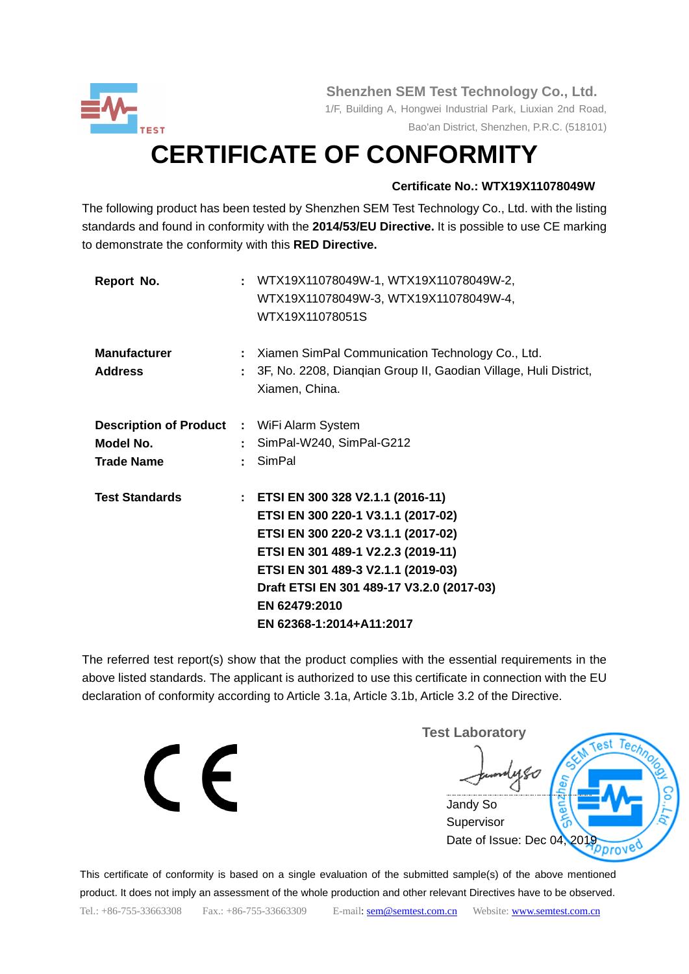

 **Shenzhen SEM Test Technology Co., Ltd.**

 1/F, Building A, Hongwei Industrial Park, Liuxian 2nd Road, Bao'an District, Shenzhen, P.R.C. (518101)

# **CERTIFICATE OF CONFORMITY**

### **Certificate No.: WTX19X11078049W**

The following product has been tested by Shenzhen SEM Test Technology Co., Ltd. with the listing standards and found in conformity with the **2014/53/EU Directive.** It is possible to use CE marking to demonstrate the conformity with this **RED Directive.**

| Report No.                                                                          |    | : WTX19X11078049W-1, WTX19X11078049W-2,<br>WTX19X11078049W-3, WTX19X11078049W-4,<br>WTX19X11078051S                                                                                                                                                                                  |
|-------------------------------------------------------------------------------------|----|--------------------------------------------------------------------------------------------------------------------------------------------------------------------------------------------------------------------------------------------------------------------------------------|
| <b>Manufacturer</b><br><b>Address</b>                                               |    | : Xiamen SimPal Communication Technology Co., Ltd.<br>3F, No. 2208, Diangian Group II, Gaodian Village, Huli District,<br>Xiamen, China.                                                                                                                                             |
| <b>Description of Product : WiFi Alarm System</b><br>Model No.<br><b>Trade Name</b> | t. | : SimPal-W240, SimPal-G212<br>SimPal                                                                                                                                                                                                                                                 |
| <b>Test Standards</b>                                                               |    | : ETSI EN 300 328 V2.1.1 (2016-11)<br>ETSI EN 300 220-1 V3.1.1 (2017-02)<br>ETSI EN 300 220-2 V3.1.1 (2017-02)<br>ETSI EN 301 489-1 V2.2.3 (2019-11)<br>ETSI EN 301 489-3 V2.1.1 (2019-03)<br>Draft ETSI EN 301 489-17 V3.2.0 (2017-03)<br>EN 62479:2010<br>EN 62368-1:2014+A11:2017 |

The referred test report(s) show that the product complies with the essential requirements in the above listed standards. The applicant is authorized to use this certificate in connection with the EU declaration of conformity according to Article 3.1a, Article 3.1b, Article 3.2 of the Directive.

 $\epsilon$ 

**Test Laboratory** Tec Jandy So **Supervisor** Date of Issue: Dec 04, 201 prove

This certificate of conformity is based on a single evaluation of the submitted sample(s) of the above mentioned product. It does not imply an assessment of the whole production and other relevant Directives have to be observed. Tel.: +86-755-33663308 Fax.: +86-755-33663309 E-mail: sem @semtest.com.cn Website: [www.semtest.com.cn](http://www.semtest.com.cn/)